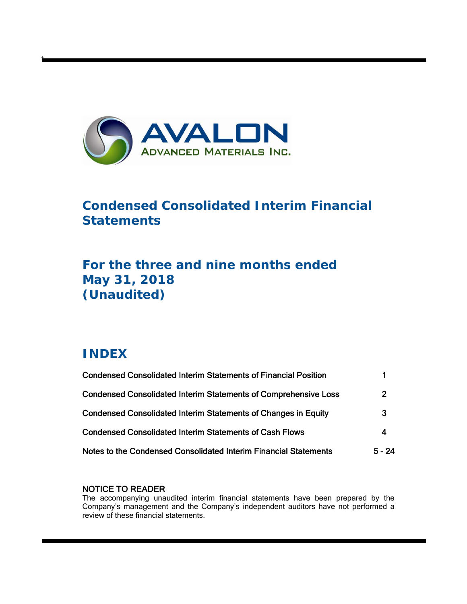

# **Condensed Consolidated Interim Financial Statements**

# **For the three and nine months ended May 31, 2018 (Unaudited)**

# **INDEX**

t

| <b>Condensed Consolidated Interim Statements of Financial Position</b> |                |
|------------------------------------------------------------------------|----------------|
| <b>Condensed Consolidated Interim Statements of Comprehensive Loss</b> | $\overline{2}$ |
| <b>Condensed Consolidated Interim Statements of Changes in Equity</b>  | 3              |
| <b>Condensed Consolidated Interim Statements of Cash Flows</b>         | 4              |
| Notes to the Condensed Consolidated Interim Financial Statements       | $5 - 24$       |

# NOTICE TO READER

The accompanying unaudited interim financial statements have been prepared by the Company's management and the Company's independent auditors have not performed a review of these financial statements.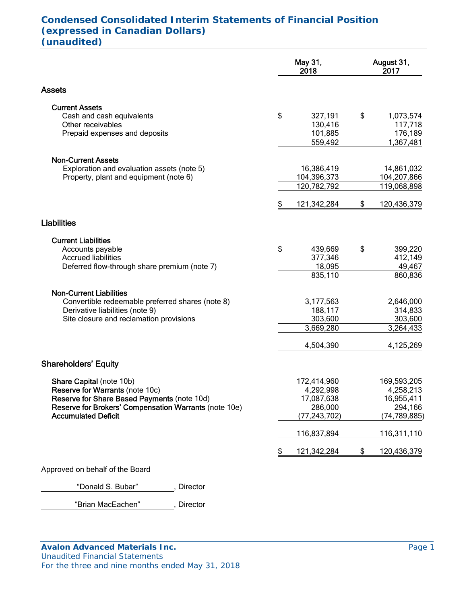# **Condensed Consolidated Interim Statements of Financial Position (expressed in Canadian Dollars) (unaudited)**

|                                                                                                                                                                                                                                  | May 31,<br>2018                                                                                         | August 31,<br>2017                                                                                      |  |
|----------------------------------------------------------------------------------------------------------------------------------------------------------------------------------------------------------------------------------|---------------------------------------------------------------------------------------------------------|---------------------------------------------------------------------------------------------------------|--|
| <b>Assets</b>                                                                                                                                                                                                                    |                                                                                                         |                                                                                                         |  |
| <b>Current Assets</b><br>Cash and cash equivalents<br>Other receivables<br>Prepaid expenses and deposits                                                                                                                         | \$<br>327,191<br>130,416<br>101,885<br>559,492                                                          | \$<br>1,073,574<br>117,718<br>176,189<br>1,367,481                                                      |  |
| <b>Non-Current Assets</b><br>Exploration and evaluation assets (note 5)<br>Property, plant and equipment (note 6)                                                                                                                | 16,386,419<br>104,396,373<br>120,782,792                                                                | 14,861,032<br>104,207,866<br>119,068,898                                                                |  |
|                                                                                                                                                                                                                                  | \$<br>121,342,284                                                                                       | \$<br>120,436,379                                                                                       |  |
| <b>Liabilities</b>                                                                                                                                                                                                               |                                                                                                         |                                                                                                         |  |
| <b>Current Liabilities</b><br>Accounts payable<br><b>Accrued liabilities</b><br>Deferred flow-through share premium (note 7)                                                                                                     | \$<br>439,669<br>377,346<br>18,095<br>835,110                                                           | \$<br>399,220<br>412,149<br>49,467<br>860,836                                                           |  |
| <b>Non-Current Liabilities</b><br>Convertible redeemable preferred shares (note 8)<br>Derivative liabilities (note 9)<br>Site closure and reclamation provisions                                                                 | 3,177,563<br>188,117<br>303,600<br>3,669,280                                                            | 2,646,000<br>314,833<br>303,600<br>3,264,433                                                            |  |
|                                                                                                                                                                                                                                  | 4,504,390                                                                                               | 4,125,269                                                                                               |  |
| <b>Shareholders' Equity</b><br>Share Capital (note 10b)<br>Reserve for Warrants (note 10c)<br>Reserve for Share Based Payments (note 10d)<br>Reserve for Brokers' Compensation Warrants (note 10e)<br><b>Accumulated Deficit</b> | \$<br>172,414,960<br>4,292,998<br>17,087,638<br>286,000<br>(77, 243, 702)<br>116,837,894<br>121,342,284 | \$<br>169,593,205<br>4,258,213<br>16,955,411<br>294,166<br>(74, 789, 885)<br>116,311,110<br>120,436,379 |  |
| Approved on behalf of the Board                                                                                                                                                                                                  |                                                                                                         |                                                                                                         |  |
|                                                                                                                                                                                                                                  |                                                                                                         |                                                                                                         |  |

"Donald S. Bubar", Director

"Brian MacEachen" , Director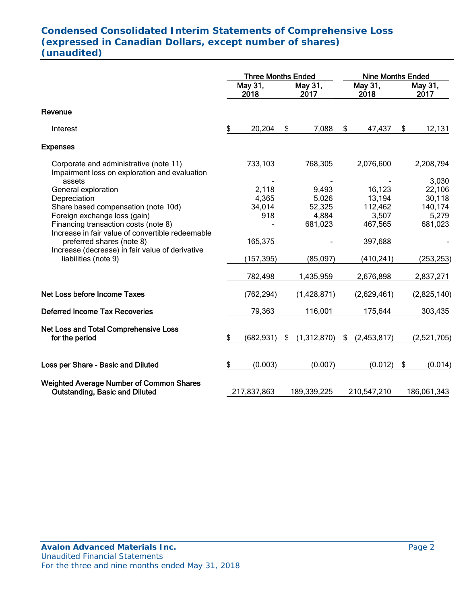# **Condensed Consolidated Interim Statements of Comprehensive Loss (expressed in Canadian Dollars, except number of shares) (unaudited)**

|                                                                                                                                                                          | <b>Three Months Ended</b> |                                 |                 | <b>Nine Months Ended</b>          |    |                                      |    |                                      |
|--------------------------------------------------------------------------------------------------------------------------------------------------------------------------|---------------------------|---------------------------------|-----------------|-----------------------------------|----|--------------------------------------|----|--------------------------------------|
|                                                                                                                                                                          |                           | May 31,<br>2018                 | May 31,<br>2017 |                                   |    | May 31,<br>2018                      |    | May 31,<br>2017                      |
| Revenue                                                                                                                                                                  |                           |                                 |                 |                                   |    |                                      |    |                                      |
| Interest                                                                                                                                                                 | \$                        | 20,204                          | S               | 7,088                             | \$ | 47,437                               | \$ | 12,131                               |
| <b>Expenses</b>                                                                                                                                                          |                           |                                 |                 |                                   |    |                                      |    |                                      |
| Corporate and administrative (note 11)<br>Impairment loss on exploration and evaluation                                                                                  |                           | 733,103                         |                 | 768,305                           |    | 2,076,600                            |    | 2,208,794<br>3,030                   |
| assets<br>General exploration<br>Depreciation<br>Share based compensation (note 10d)<br>Foreign exchange loss (gain)                                                     |                           | 2,118<br>4,365<br>34,014<br>918 |                 | 9,493<br>5,026<br>52,325<br>4,884 |    | 16,123<br>13,194<br>112,462<br>3,507 |    | 22,106<br>30,118<br>140,174<br>5,279 |
| Financing transaction costs (note 8)<br>Increase in fair value of convertible redeemable<br>preferred shares (note 8)<br>Increase (decrease) in fair value of derivative |                           | 165,375                         |                 | 681,023                           |    | 467,565<br>397,688                   |    | 681,023                              |
| liabilities (note 9)                                                                                                                                                     |                           | (157, 395)                      |                 | (85,097)                          |    | (410, 241)                           |    | (253, 253)                           |
|                                                                                                                                                                          |                           | 782,498                         |                 | 1,435,959                         |    | 2,676,898                            |    | 2,837,271                            |
| Net Loss before Income Taxes                                                                                                                                             |                           | (762, 294)                      |                 | (1,428,871)                       |    | (2,629,461)                          |    | (2,825,140)                          |
| <b>Deferred Income Tax Recoveries</b>                                                                                                                                    |                           | 79,363                          |                 | 116,001                           |    | 175,644                              |    | 303,435                              |
| <b>Net Loss and Total Comprehensive Loss</b><br>for the period                                                                                                           | \$                        | (682, 931)                      | S.              | (1,312,870)                       | \$ | (2,453,817)                          |    | (2,521,705)                          |
| Loss per Share - Basic and Diluted                                                                                                                                       | \$                        | (0.003)                         |                 | (0.007)                           |    | (0.012)                              | \$ | (0.014)                              |
| <b>Weighted Average Number of Common Shares</b><br><b>Outstanding, Basic and Diluted</b>                                                                                 |                           | 217,837,863                     |                 | 189,339,225                       |    | 210,547,210                          |    | 186,061,343                          |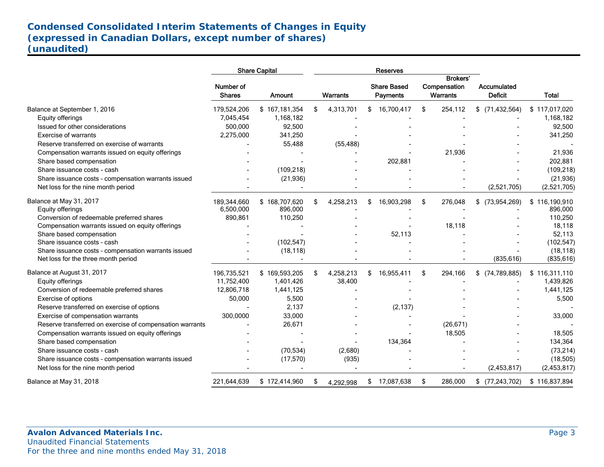# **Condensed Consolidated Interim Statements of Changes in Equity (expressed in Canadian Dollars, except number of shares) (unaudited)**

|                                                                                            |                            | <b>Share Capital</b> |                 | <b>Reserves</b>                       |                                             |           |                               |                         |
|--------------------------------------------------------------------------------------------|----------------------------|----------------------|-----------------|---------------------------------------|---------------------------------------------|-----------|-------------------------------|-------------------------|
|                                                                                            | Number of<br><b>Shares</b> | Amount               | <b>Warrants</b> | <b>Share Based</b><br><b>Payments</b> | <b>Brokers'</b><br>Compensation<br>Warrants |           | Accumulated<br><b>Deficit</b> | <b>Total</b>            |
| Balance at September 1, 2016                                                               | 179,524,206                | \$167,181,354        | \$<br>4,313,701 | \$16,700,417                          | \$                                          | 254,112   | \$<br>(71, 432, 564)          | \$117,017,020           |
| Equity offerings                                                                           | 7,045,454                  | 1,168,182            |                 |                                       |                                             |           |                               | 1,168,182               |
| Issued for other considerations                                                            | 500,000                    | 92,500               |                 |                                       |                                             |           |                               | 92,500                  |
| <b>Exercise of warrants</b>                                                                | 2,275,000                  | 341,250              |                 |                                       |                                             |           |                               | 341,250                 |
| Reserve transferred on exercise of warrants                                                |                            | 55,488               | (55, 488)       |                                       |                                             |           |                               |                         |
| Compensation warrants issued on equity offerings                                           |                            |                      |                 |                                       |                                             | 21,936    |                               | 21,936                  |
| Share based compensation                                                                   |                            |                      |                 | 202,881                               |                                             |           |                               | 202,881                 |
| Share issuance costs - cash                                                                |                            | (109, 218)           |                 |                                       |                                             |           |                               | (109, 218)              |
| Share issuance costs - compensation warrants issued                                        |                            | (21, 936)            |                 |                                       |                                             |           |                               | (21, 936)               |
| Net loss for the nine month period                                                         |                            |                      |                 |                                       |                                             |           | (2,521,705)                   | (2,521,705)             |
| Balance at May 31, 2017                                                                    | 189,344,660                | \$168,707,620        | \$<br>4,258,213 | \$<br>16,903,298                      | \$                                          | 276,048   | \$<br>(73, 954, 269)          | \$116,190,910           |
| Equity offerings                                                                           | 6,500,000                  | 896,000              |                 |                                       |                                             |           |                               | 896,000                 |
| Conversion of redeemable preferred shares                                                  | 890,861                    | 110,250              |                 |                                       |                                             |           |                               | 110,250                 |
| Compensation warrants issued on equity offerings                                           |                            |                      |                 |                                       |                                             | 18,118    |                               | 18,118                  |
| Share based compensation                                                                   |                            |                      |                 | 52,113                                |                                             |           |                               | 52,113                  |
| Share issuance costs - cash                                                                |                            | (102, 547)           |                 |                                       |                                             |           |                               | (102, 547)              |
| Share issuance costs - compensation warrants issued<br>Net loss for the three month period |                            | (18, 118)            |                 |                                       |                                             |           | (835, 616)                    | (18, 118)<br>(835, 616) |
| Balance at August 31, 2017                                                                 | 196,735,521                | \$169,593,205        | \$<br>4,258,213 | \$<br>16,955,411                      | \$                                          | 294,166   | $$$ (74,789,885)              | \$116,311,110           |
| Equity offerings                                                                           | 11,752,400                 | 1,401,426            | 38,400          |                                       |                                             |           |                               | 1,439,826               |
| Conversion of redeemable preferred shares                                                  | 12,806,718                 | 1,441,125            |                 |                                       |                                             |           |                               | 1,441,125               |
| Exercise of options                                                                        | 50,000                     | 5,500                |                 |                                       |                                             |           |                               | 5,500                   |
| Reserve transferred on exercise of options                                                 |                            | 2,137                |                 | (2, 137)                              |                                             |           |                               |                         |
| Exercise of compensation warrants                                                          | 300,0000                   | 33,000               |                 |                                       |                                             |           |                               | 33,000                  |
| Reserve transferred on exercise of compensation warrants                                   |                            | 26,671               |                 |                                       |                                             | (26, 671) |                               |                         |
| Compensation warrants issued on equity offerings                                           |                            |                      |                 |                                       |                                             | 18,505    |                               | 18,505                  |
| Share based compensation                                                                   |                            |                      |                 | 134,364                               |                                             |           |                               | 134,364                 |
| Share issuance costs - cash                                                                |                            | (70, 534)            | (2,680)         |                                       |                                             |           |                               | (73, 214)               |
| Share issuance costs - compensation warrants issued                                        |                            | (17, 570)            | (935)           |                                       |                                             |           |                               | (18, 505)               |
| Net loss for the nine month period                                                         |                            |                      |                 |                                       |                                             |           | (2,453,817)                   | (2,453,817)             |
| Balance at May 31, 2018                                                                    | 221,644,639                | \$172,414,960        | \$<br>4,292,998 | \$<br>17,087,638                      | \$                                          | 286,000   | (77, 243, 702)<br>\$          | \$116,837,894           |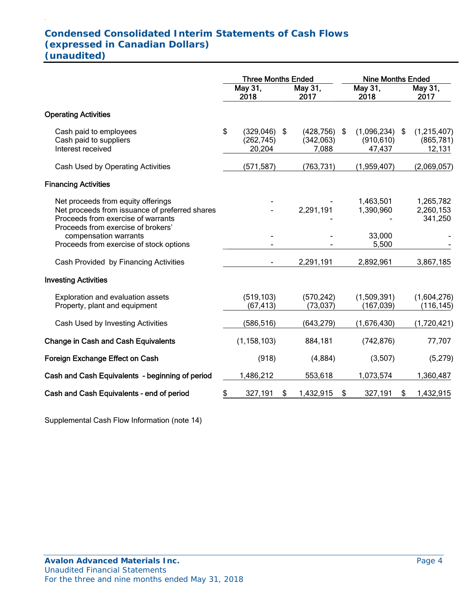# **Condensed Consolidated Interim Statements of Cash Flows (expressed in Canadian Dollars) (unaudited)**

.

|                                                                                                                                                                  | <b>Three Months Ended</b> |                                    |    |                                  | <b>Nine Months Ended</b> |                                     |     |                                     |
|------------------------------------------------------------------------------------------------------------------------------------------------------------------|---------------------------|------------------------------------|----|----------------------------------|--------------------------|-------------------------------------|-----|-------------------------------------|
|                                                                                                                                                                  |                           | May 31,<br>2018                    |    | May 31,<br>2017                  |                          | May 31,<br>2018                     |     | May 31,<br>2017                     |
| <b>Operating Activities</b>                                                                                                                                      |                           |                                    |    |                                  |                          |                                     |     |                                     |
| Cash paid to employees<br>Cash paid to suppliers<br>Interest received                                                                                            | \$                        | (329, 046)<br>(262, 745)<br>20,204 | \$ | (428, 756)<br>(342,063)<br>7,088 | \$                       | (1,096,234)<br>(910, 610)<br>47,437 | -\$ | (1,215,407)<br>(865, 781)<br>12,131 |
| Cash Used by Operating Activities                                                                                                                                |                           | (571, 587)                         |    | (763, 731)                       |                          | (1,959,407)                         |     | (2,069,057)                         |
| <b>Financing Activities</b>                                                                                                                                      |                           |                                    |    |                                  |                          |                                     |     |                                     |
| Net proceeds from equity offerings<br>Net proceeds from issuance of preferred shares<br>Proceeds from exercise of warrants<br>Proceeds from exercise of brokers' |                           |                                    |    | 2,291,191                        |                          | 1,463,501<br>1,390,960              |     | 1,265,782<br>2,260,153<br>341,250   |
| compensation warrants<br>Proceeds from exercise of stock options                                                                                                 |                           |                                    |    |                                  |                          | 33,000<br>5,500                     |     |                                     |
| Cash Provided by Financing Activities                                                                                                                            |                           |                                    |    | 2,291,191                        |                          | 2,892,961                           |     | 3,867,185                           |
| <b>Investing Activities</b>                                                                                                                                      |                           |                                    |    |                                  |                          |                                     |     |                                     |
| Exploration and evaluation assets<br>Property, plant and equipment                                                                                               |                           | (519, 103)<br>(67, 413)            |    | (570, 242)<br>(73, 037)          |                          | (1,509,391)<br>(167, 039)           |     | (1,604,276)<br>(116, 145)           |
| Cash Used by Investing Activities                                                                                                                                |                           | (586, 516)                         |    | (643, 279)                       |                          | (1,676,430)                         |     | (1,720,421)                         |
| <b>Change in Cash and Cash Equivalents</b>                                                                                                                       |                           | (1, 158, 103)                      |    | 884,181                          |                          | (742, 876)                          |     | 77,707                              |
| <b>Foreign Exchange Effect on Cash</b>                                                                                                                           |                           | (918)                              |    | (4,884)                          |                          | (3,507)                             |     | (5,279)                             |
| Cash and Cash Equivalents - beginning of period                                                                                                                  |                           | 1,486,212                          |    | 553,618                          |                          | 1,073,574                           |     | 1,360,487                           |
| Cash and Cash Equivalents - end of period                                                                                                                        | \$                        | 327,191                            | \$ | 1,432,915                        | S                        | 327,191                             | S   | 1,432,915                           |

Supplemental Cash Flow Information (note 14)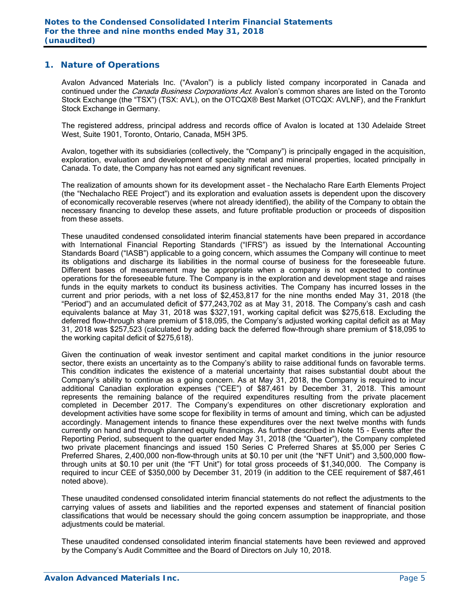### **1. Nature of Operations**

Avalon Advanced Materials Inc. ("Avalon") is a publicly listed company incorporated in Canada and continued under the *Canada Business Corporations Act*. Avalon's common shares are listed on the Toronto Stock Exchange (the "TSX") (TSX: AVL), on the OTCQX® Best Market (OTCQX: AVLNF), and the Frankfurt Stock Exchange in Germany.

The registered address, principal address and records office of Avalon is located at 130 Adelaide Street West, Suite 1901, Toronto, Ontario, Canada, M5H 3P5.

Avalon, together with its subsidiaries (collectively, the "Company") is principally engaged in the acquisition, exploration, evaluation and development of specialty metal and mineral properties, located principally in Canada. To date, the Company has not earned any significant revenues.

The realization of amounts shown for its development asset – the Nechalacho Rare Earth Elements Project (the "Nechalacho REE Project") and its exploration and evaluation assets is dependent upon the discovery of economically recoverable reserves (where not already identified), the ability of the Company to obtain the necessary financing to develop these assets, and future profitable production or proceeds of disposition from these assets.

These unaudited condensed consolidated interim financial statements have been prepared in accordance with International Financial Reporting Standards ("IFRS") as issued by the International Accounting Standards Board ("IASB") applicable to a going concern, which assumes the Company will continue to meet its obligations and discharge its liabilities in the normal course of business for the foreseeable future. Different bases of measurement may be appropriate when a company is not expected to continue operations for the foreseeable future. The Company is in the exploration and development stage and raises funds in the equity markets to conduct its business activities. The Company has incurred losses in the current and prior periods, with a net loss of \$2,453,817 for the nine months ended May 31, 2018 (the "Period") and an accumulated deficit of \$77,243,702 as at May 31, 2018. The Company's cash and cash equivalents balance at May 31, 2018 was \$327,191, working capital deficit was \$275,618. Excluding the deferred flow-through share premium of \$18,095, the Company's adjusted working capital deficit as at May 31, 2018 was \$257,523 (calculated by adding back the deferred flow-through share premium of \$18,095 to the working capital deficit of \$275,618).

Given the continuation of weak investor sentiment and capital market conditions in the junior resource sector, there exists an uncertainty as to the Company's ability to raise additional funds on favorable terms. This condition indicates the existence of a material uncertainty that raises substantial doubt about the Company's ability to continue as a going concern. As at May 31, 2018, the Company is required to incur additional Canadian exploration expenses ("CEE") of \$87,461 by December 31, 2018. This amount represents the remaining balance of the required expenditures resulting from the private placement completed in December 2017. The Company's expenditures on other discretionary exploration and development activities have some scope for flexibility in terms of amount and timing, which can be adjusted accordingly. Management intends to finance these expenditures over the next twelve months with funds currently on hand and through planned equity financings. As further described in Note 15 - Events after the Reporting Period, subsequent to the quarter ended May 31, 2018 (the "Quarter"), the Company completed two private placement financings and issued 150 Series C Preferred Shares at \$5,000 per Series C Preferred Shares, 2,400,000 non-flow-through units at \$0.10 per unit (the "NFT Unit") and 3,500,000 flowthrough units at \$0.10 per unit (the "FT Unit") for total gross proceeds of \$1,340,000. The Company is required to incur CEE of \$350,000 by December 31, 2019 (in addition to the CEE requirement of \$87,461 noted above).

These unaudited condensed consolidated interim financial statements do not reflect the adjustments to the carrying values of assets and liabilities and the reported expenses and statement of financial position classifications that would be necessary should the going concern assumption be inappropriate, and those adjustments could be material.

These unaudited condensed consolidated interim financial statements have been reviewed and approved by the Company's Audit Committee and the Board of Directors on July 10, 2018.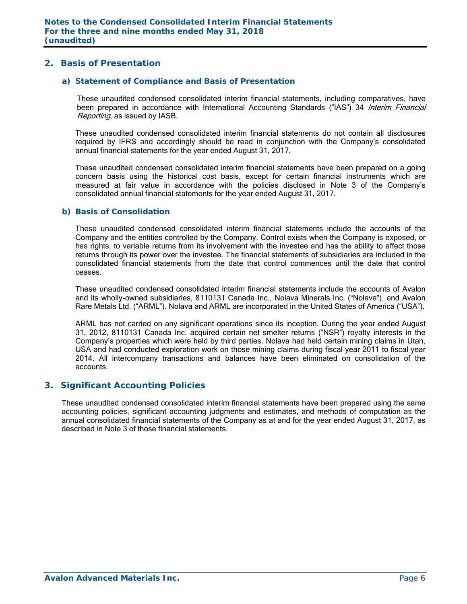### **2. Basis of Presentation**

#### *a) Statement of Compliance and Basis of Presentation*

These unaudited condensed consolidated interim financial statements, including comparatives, have been prepared in accordance with International Accounting Standards ("IAS") 34 Interim Financial Reporting, as issued by IASB.

These unaudited condensed consolidated interim financial statements do not contain all disclosures required by IFRS and accordingly should be read in conjunction with the Company's consolidated annual financial statements for the year ended August 31, 2017.

These unaudited condensed consolidated interim financial statements have been prepared on a going concern basis using the historical cost basis, except for certain financial instruments which are measured at fair value in accordance with the policies disclosed in Note 3 of the Company's consolidated annual financial statements for the year ended August 31, 2017.

#### *b) Basis of Consolidation*

These unaudited condensed consolidated interim financial statements include the accounts of the Company and the entities controlled by the Company. Control exists when the Company is exposed, or has rights, to variable returns from its involvement with the investee and has the ability to affect those returns through its power over the investee. The financial statements of subsidiaries are included in the consolidated financial statements from the date that control commences until the date that control ceases.

These unaudited condensed consolidated interim financial statements include the accounts of Avalon and its wholly-owned subsidiaries, 8110131 Canada Inc., Nolava Minerals Inc. ("Nolava"), and Avalon Rare Metals Ltd. ("ARML"). Nolava and ARML are incorporated in the United States of America ("USA").

ARML has not carried on any significant operations since its inception. During the year ended August 31, 2012, 8110131 Canada Inc. acquired certain net smelter returns ("NSR") royalty interests in the Company's properties which were held by third parties. Nolava had held certain mining claims in Utah, USA and had conducted exploration work on those mining claims during fiscal year 2011 to fiscal year 2014. All intercompany transactions and balances have been eliminated on consolidation of the accounts.

### **3. Significant Accounting Policies**

These unaudited condensed consolidated interim financial statements have been prepared using the same accounting policies, significant accounting judgments and estimates, and methods of computation as the annual consolidated financial statements of the Company as at and for the year ended August 31, 2017, as described in Note 3 of those financial statements.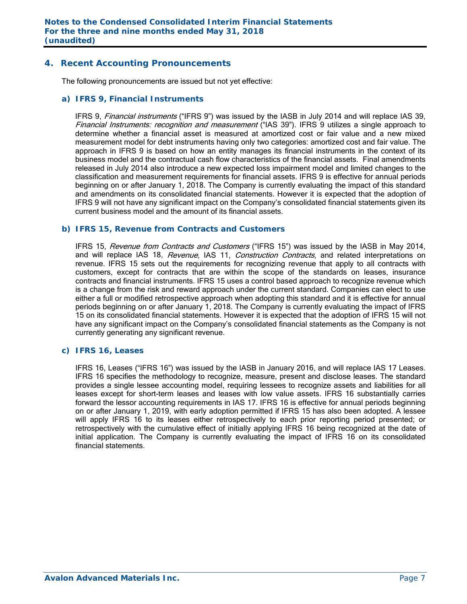# **4. Recent Accounting Pronouncements**

The following pronouncements are issued but not yet effective:

#### *a) IFRS 9, Financial Instruments*

IFRS 9, Financial instruments ("IFRS 9") was issued by the IASB in July 2014 and will replace IAS 39, Financial Instruments: recognition and measurement ("IAS 39"). IFRS 9 utilizes a single approach to determine whether a financial asset is measured at amortized cost or fair value and a new mixed measurement model for debt instruments having only two categories: amortized cost and fair value. The approach in IFRS 9 is based on how an entity manages its financial instruments in the context of its business model and the contractual cash flow characteristics of the financial assets. Final amendments released in July 2014 also introduce a new expected loss impairment model and limited changes to the classification and measurement requirements for financial assets. IFRS 9 is effective for annual periods beginning on or after January 1, 2018. The Company is currently evaluating the impact of this standard and amendments on its consolidated financial statements. However it is expected that the adoption of IFRS 9 will not have any significant impact on the Company's consolidated financial statements given its current business model and the amount of its financial assets.

#### *b) IFRS 15, Revenue from Contracts and Customers*

IFRS 15, Revenue from Contracts and Customers ("IFRS 15") was issued by the IASB in May 2014, and will replace IAS 18, Revenue, IAS 11, Construction Contracts, and related interpretations on revenue. IFRS 15 sets out the requirements for recognizing revenue that apply to all contracts with customers, except for contracts that are within the scope of the standards on leases, insurance contracts and financial instruments. IFRS 15 uses a control based approach to recognize revenue which is a change from the risk and reward approach under the current standard. Companies can elect to use either a full or modified retrospective approach when adopting this standard and it is effective for annual periods beginning on or after January 1, 2018. The Company is currently evaluating the impact of IFRS 15 on its consolidated financial statements. However it is expected that the adoption of IFRS 15 will not have any significant impact on the Company's consolidated financial statements as the Company is not currently generating any significant revenue.

### *c) IFRS 16, Leases*

 IFRS 16, Leases ("IFRS 16") was issued by the IASB in January 2016, and will replace IAS 17 Leases. IFRS 16 specifies the methodology to recognize, measure, present and disclose leases. The standard provides a single lessee accounting model, requiring lessees to recognize assets and liabilities for all leases except for short-term leases and leases with low value assets. IFRS 16 substantially carries forward the lessor accounting requirements in IAS 17. IFRS 16 is effective for annual periods beginning on or after January 1, 2019, with early adoption permitted if IFRS 15 has also been adopted. A lessee will apply IFRS 16 to its leases either retrospectively to each prior reporting period presented; or retrospectively with the cumulative effect of initially applying IFRS 16 being recognized at the date of initial application. The Company is currently evaluating the impact of IFRS 16 on its consolidated financial statements.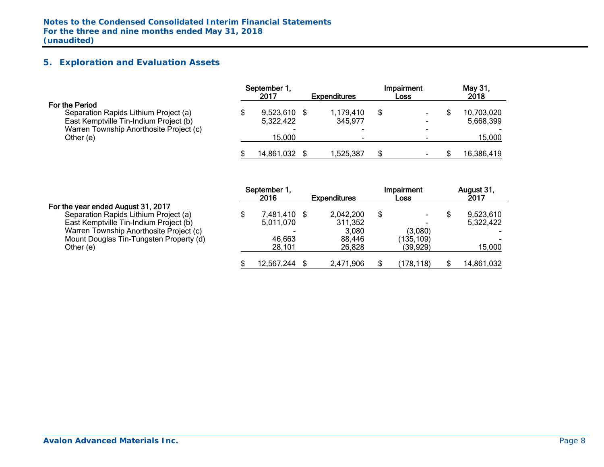# **5. Exploration and Evaluation Assets**

|                                         | September 1.<br>2017     | <b>Expenditures</b> | Impairment<br>Loss | May 31,<br>2018 |
|-----------------------------------------|--------------------------|---------------------|--------------------|-----------------|
| For the Period                          |                          |                     |                    |                 |
| Separation Rapids Lithium Project (a)   | 9,523,610                | 1,179,410           | \$                 | 10,703,020      |
| East Kemptville Tin-Indium Project (b)  | 5,322,422                | 345,977             |                    | 5,668,399       |
| Warren Township Anorthosite Project (c) | $\overline{\phantom{0}}$ |                     |                    |                 |
| Other (e)                               | 15,000                   | -                   |                    | 15,000          |
|                                         | 14,861,032               | 1,525,387           |                    | 16,386,419      |

|                                         | September 1.<br>2016     | <b>Expenditures</b> | Impairment<br><b>Loss</b> | August 31,<br>2017 |
|-----------------------------------------|--------------------------|---------------------|---------------------------|--------------------|
| For the year ended August 31, 2017      |                          |                     |                           |                    |
| Separation Rapids Lithium Project (a)   | 7,481,410 \$             | 2,042,200           | \$                        | 9,523,610          |
| East Kemptville Tin-Indium Project (b)  | 5,011,070                | 311,352             |                           | 5,322,422          |
| Warren Township Anorthosite Project (c) | $\overline{\phantom{0}}$ | 3.080               | (3,080)                   |                    |
| Mount Douglas Tin-Tungsten Property (d) | 46,663                   | 88.446              | (135, 109)                |                    |
| Other (e)                               | 28.101                   | 26,828              | (39,929)                  | 15,000             |
|                                         | 12,567,244               | 2,471,906           | (178,118)                 | 14,861,032         |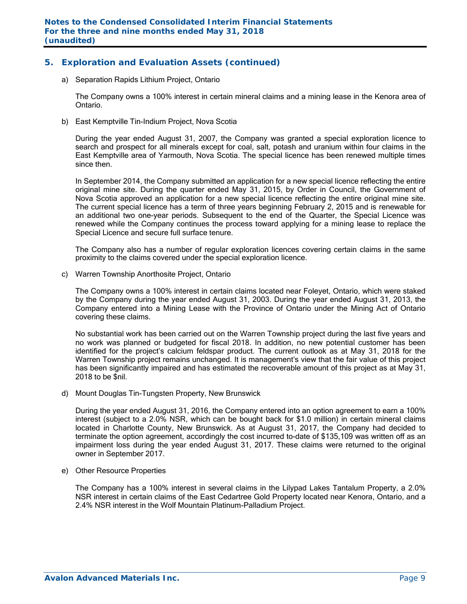# **5. Exploration and Evaluation Assets (continued)**

a) Separation Rapids Lithium Project, Ontario

The Company owns a 100% interest in certain mineral claims and a mining lease in the Kenora area of Ontario.

b) East Kemptville Tin-Indium Project, Nova Scotia

During the year ended August 31, 2007, the Company was granted a special exploration licence to search and prospect for all minerals except for coal, salt, potash and uranium within four claims in the East Kemptville area of Yarmouth, Nova Scotia. The special licence has been renewed multiple times since then.

In September 2014, the Company submitted an application for a new special licence reflecting the entire original mine site. During the quarter ended May 31, 2015, by Order in Council, the Government of Nova Scotia approved an application for a new special licence reflecting the entire original mine site. The current special licence has a term of three years beginning February 2, 2015 and is renewable for an additional two one-year periods. Subsequent to the end of the Quarter, the Special Licence was renewed while the Company continues the process toward applying for a mining lease to replace the Special Licence and secure full surface tenure.

The Company also has a number of regular exploration licences covering certain claims in the same proximity to the claims covered under the special exploration licence.

c) Warren Township Anorthosite Project, Ontario

The Company owns a 100% interest in certain claims located near Foleyet, Ontario, which were staked by the Company during the year ended August 31, 2003. During the year ended August 31, 2013, the Company entered into a Mining Lease with the Province of Ontario under the Mining Act of Ontario covering these claims.

No substantial work has been carried out on the Warren Township project during the last five years and no work was planned or budgeted for fiscal 2018. In addition, no new potential customer has been identified for the project's calcium feldspar product. The current outlook as at May 31, 2018 for the Warren Township project remains unchanged. It is management's view that the fair value of this project has been significantly impaired and has estimated the recoverable amount of this project as at May 31, 2018 to be \$nil.

d) Mount Douglas Tin-Tungsten Property, New Brunswick

During the year ended August 31, 2016, the Company entered into an option agreement to earn a 100% interest (subject to a 2.0% NSR, which can be bought back for \$1.0 million) in certain mineral claims located in Charlotte County, New Brunswick. As at August 31, 2017, the Company had decided to terminate the option agreement, accordingly the cost incurred to-date of \$135,109 was written off as an impairment loss during the year ended August 31, 2017. These claims were returned to the original owner in September 2017.

e) Other Resource Properties

The Company has a 100% interest in several claims in the Lilypad Lakes Tantalum Property, a 2.0% NSR interest in certain claims of the East Cedartree Gold Property located near Kenora, Ontario, and a 2.4% NSR interest in the Wolf Mountain Platinum-Palladium Project.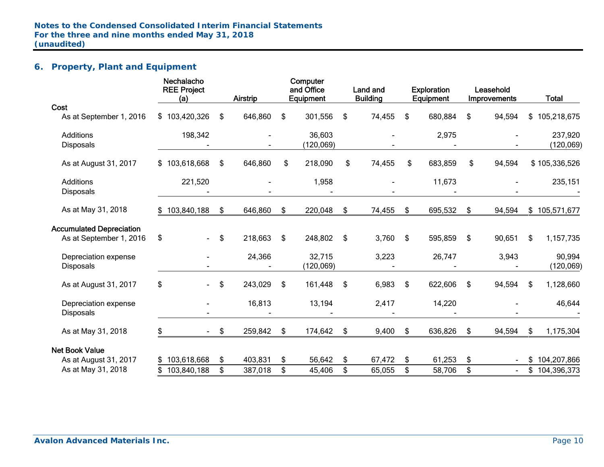# **6. Property, Plant and Equipment**

|                                 | Nechalacho<br><b>REE Project</b><br>(a) | Airstrip      | Computer<br>and Office<br>Equipment | Land and<br><b>Building</b> | <b>Exploration</b><br>Equipment | Leasehold<br>Improvements | <b>Total</b>      |
|---------------------------------|-----------------------------------------|---------------|-------------------------------------|-----------------------------|---------------------------------|---------------------------|-------------------|
| Cost                            |                                         |               |                                     |                             |                                 |                           |                   |
| As at September 1, 2016         | \$103,420,326                           | \$<br>646,860 | \$<br>301,556                       | \$<br>74,455                | \$<br>680,884                   | \$<br>94,594              | \$<br>105,218,675 |
| <b>Additions</b>                | 198,342                                 |               | 36,603                              |                             | 2,975                           |                           | 237,920           |
| <b>Disposals</b>                |                                         |               | (120, 069)                          |                             |                                 |                           | (120, 069)        |
| As at August 31, 2017           | \$103,618,668                           | \$<br>646,860 | \$<br>218,090                       | \$<br>74,455                | \$<br>683,859                   | \$<br>94,594              | \$105,336,526     |
| Additions                       | 221,520                                 |               | 1,958                               |                             | 11,673                          |                           | 235,151           |
| <b>Disposals</b>                |                                         |               |                                     |                             |                                 |                           |                   |
| As at May 31, 2018              | \$103,840,188                           | \$<br>646,860 | \$<br>220,048                       | \$<br>74,455                | \$<br>695,532                   | \$<br>94,594              | \$105,571,677     |
| <b>Accumulated Depreciation</b> |                                         |               |                                     |                             |                                 |                           |                   |
| As at September 1, 2016         | \$<br>$\blacksquare$                    | \$<br>218,663 | \$<br>248,802                       | \$<br>3,760                 | \$<br>595,859                   | \$<br>90,651              | \$<br>1,157,735   |
| Depreciation expense            |                                         | 24,366        | 32,715                              | 3,223                       | 26,747                          | 3,943                     | 90,994            |
| <b>Disposals</b>                |                                         |               | (120,069)                           |                             |                                 |                           | (120, 069)        |
| As at August 31, 2017           | \$<br>$\blacksquare$                    | \$<br>243,029 | \$<br>161,448                       | \$<br>6,983                 | \$<br>622,606                   | \$<br>94,594              | \$<br>1,128,660   |
| Depreciation expense            |                                         | 16,813        | 13,194                              | 2,417                       | 14,220                          |                           | 46,644            |
| <b>Disposals</b>                |                                         |               |                                     |                             |                                 |                           |                   |
| As at May 31, 2018              | \$<br>$\sim 100$                        | \$<br>259,842 | \$<br>174,642                       | \$<br>9,400                 | \$<br>636,826                   | \$<br>94,594              | \$<br>1,175,304   |
| <b>Net Book Value</b>           |                                         |               |                                     |                             |                                 |                           |                   |
| As at August 31, 2017           | \$103,618,668                           | \$<br>403,831 | \$<br>56,642                        | \$<br>67,472                | \$<br>61,253                    | \$<br>$\sim$              | \$<br>104,207,866 |
| As at May 31, 2018              | 103,840,188                             | \$<br>387,018 | \$<br>45,406                        | \$<br>65,055                | \$<br>58,706                    | \$                        | \$<br>104,396,373 |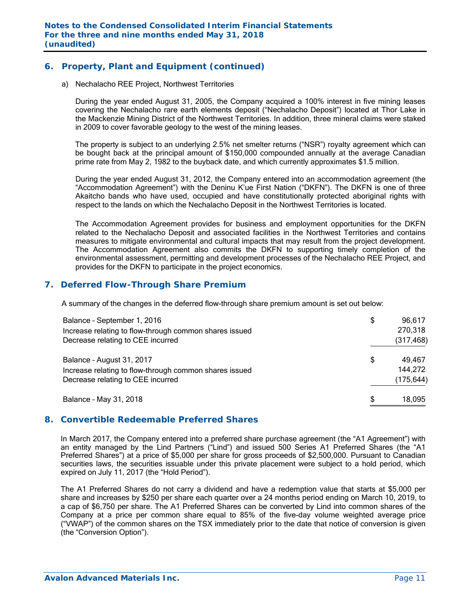# **6. Property, Plant and Equipment (continued)**

a) Nechalacho REE Project, Northwest Territories

During the year ended August 31, 2005, the Company acquired a 100% interest in five mining leases covering the Nechalacho rare earth elements deposit ("Nechalacho Deposit") located at Thor Lake in the Mackenzie Mining District of the Northwest Territories. In addition, three mineral claims were staked in 2009 to cover favorable geology to the west of the mining leases.

The property is subject to an underlying 2.5% net smelter returns ("NSR") royalty agreement which can be bought back at the principal amount of \$150,000 compounded annually at the average Canadian prime rate from May 2, 1982 to the buyback date, and which currently approximates \$1.5 million.

During the year ended August 31, 2012, the Company entered into an accommodation agreement (the "Accommodation Agreement") with the Deninu K'ue First Nation ("DKFN"). The DKFN is one of three Akaitcho bands who have used, occupied and have constitutionally protected aboriginal rights with respect to the lands on which the Nechalacho Deposit in the Northwest Territories is located.

The Accommodation Agreement provides for business and employment opportunities for the DKFN related to the Nechalacho Deposit and associated facilities in the Northwest Territories and contains measures to mitigate environmental and cultural impacts that may result from the project development. The Accommodation Agreement also commits the DKFN to supporting timely completion of the environmental assessment, permitting and development processes of the Nechalacho REE Project, and provides for the DKFN to participate in the project economics.

# **7. Deferred Flow-Through Share Premium**

A summary of the changes in the deferred flow-through share premium amount is set out below:

| Balance - September 1, 2016<br>Increase relating to flow-through common shares issued                                    | \$<br>96,617<br>270,318               |
|--------------------------------------------------------------------------------------------------------------------------|---------------------------------------|
| Decrease relating to CEE incurred                                                                                        | (317, 468)                            |
| Balance - August 31, 2017<br>Increase relating to flow-through common shares issued<br>Decrease relating to CEE incurred | \$<br>49,467<br>144,272<br>(175, 644) |
| Balance - May 31, 2018                                                                                                   | \$<br>18,095                          |

# **8. Convertible Redeemable Preferred Shares**

In March 2017, the Company entered into a preferred share purchase agreement (the "A1 Agreement") with an entity managed by the Lind Partners ("Lind") and issued 500 Series A1 Preferred Shares (the "A1 Preferred Shares") at a price of \$5,000 per share for gross proceeds of \$2,500,000. Pursuant to Canadian securities laws, the securities issuable under this private placement were subject to a hold period, which expired on July 11, 2017 (the "Hold Period").

The A1 Preferred Shares do not carry a dividend and have a redemption value that starts at \$5,000 per share and increases by \$250 per share each quarter over a 24 months period ending on March 10, 2019, to a cap of \$6,750 per share. The A1 Preferred Shares can be converted by Lind into common shares of the Company at a price per common share equal to 85% of the five-day volume weighted average price ("VWAP") of the common shares on the TSX immediately prior to the date that notice of conversion is given (the "Conversion Option").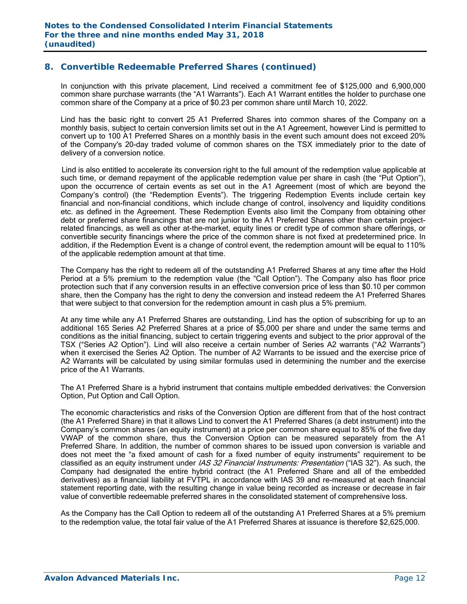# **8. Convertible Redeemable Preferred Shares (continued)**

In conjunction with this private placement, Lind received a commitment fee of \$125,000 and 6,900,000 common share purchase warrants (the "A1 Warrants"). Each A1 Warrant entitles the holder to purchase one common share of the Company at a price of \$0.23 per common share until March 10, 2022.

Lind has the basic right to convert 25 A1 Preferred Shares into common shares of the Company on a monthly basis, subject to certain conversion limits set out in the A1 Agreement, however Lind is permitted to convert up to 100 A1 Preferred Shares on a monthly basis in the event such amount does not exceed 20% of the Company's 20-day traded volume of common shares on the TSX immediately prior to the date of delivery of a conversion notice.

 Lind is also entitled to accelerate its conversion right to the full amount of the redemption value applicable at such time, or demand repayment of the applicable redemption value per share in cash (the "Put Option"), upon the occurrence of certain events as set out in the A1 Agreement (most of which are beyond the Company's control) (the "Redemption Events"). The triggering Redemption Events include certain key financial and non-financial conditions, which include change of control, insolvency and liquidity conditions etc. as defined in the Agreement. These Redemption Events also limit the Company from obtaining other debt or preferred share financings that are not junior to the A1 Preferred Shares other than certain projectrelated financings, as well as other at-the-market, equity lines or credit type of common share offerings, or convertible security financings where the price of the common share is not fixed at predetermined price. In addition, if the Redemption Event is a change of control event, the redemption amount will be equal to 110% of the applicable redemption amount at that time.

The Company has the right to redeem all of the outstanding A1 Preferred Shares at any time after the Hold Period at a 5% premium to the redemption value (the "Call Option"). The Company also has floor price protection such that if any conversion results in an effective conversion price of less than \$0.10 per common share, then the Company has the right to deny the conversion and instead redeem the A1 Preferred Shares that were subject to that conversion for the redemption amount in cash plus a 5% premium.

At any time while any A1 Preferred Shares are outstanding, Lind has the option of subscribing for up to an additional 165 Series A2 Preferred Shares at a price of \$5,000 per share and under the same terms and conditions as the initial financing, subject to certain triggering events and subject to the prior approval of the TSX ("Series A2 Option"). Lind will also receive a certain number of Series A2 warrants ("A2 Warrants") when it exercised the Series A2 Option. The number of A2 Warrants to be issued and the exercise price of A2 Warrants will be calculated by using similar formulas used in determining the number and the exercise price of the A1 Warrants.

The A1 Preferred Share is a hybrid instrument that contains multiple embedded derivatives: the Conversion Option, Put Option and Call Option.

The economic characteristics and risks of the Conversion Option are different from that of the host contract (the A1 Preferred Share) in that it allows Lind to convert the A1 Preferred Shares (a debt instrument) into the Company's common shares (an equity instrument) at a price per common share equal to 85% of the five day VWAP of the common share, thus the Conversion Option can be measured separately from the A1 Preferred Share. In addition, the number of common shares to be issued upon conversion is variable and does not meet the "a fixed amount of cash for a fixed number of equity instruments" requirement to be classified as an equity instrument under IAS 32 Financial Instruments: Presentation ("IAS 32"). As such, the Company had designated the entire hybrid contract (the A1 Preferred Share and all of the embedded derivatives) as a financial liability at FVTPL in accordance with IAS 39 and re-measured at each financial statement reporting date, with the resulting change in value being recorded as increase or decrease in fair value of convertible redeemable preferred shares in the consolidated statement of comprehensive loss.

As the Company has the Call Option to redeem all of the outstanding A1 Preferred Shares at a 5% premium to the redemption value, the total fair value of the A1 Preferred Shares at issuance is therefore \$2,625,000.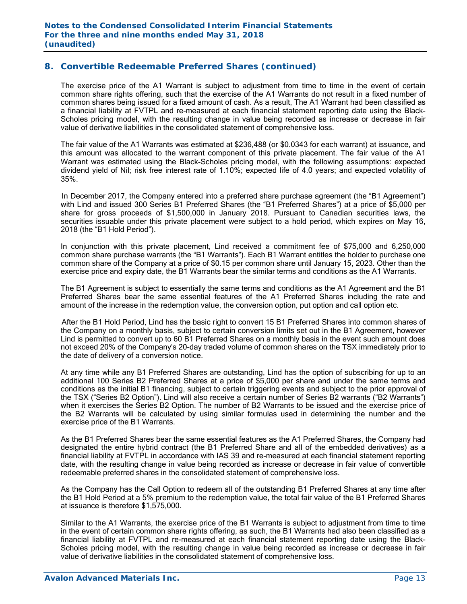# **8. Convertible Redeemable Preferred Shares (continued)**

The exercise price of the A1 Warrant is subject to adjustment from time to time in the event of certain common share rights offering, such that the exercise of the A1 Warrants do not result in a fixed number of common shares being issued for a fixed amount of cash. As a result, The A1 Warrant had been classified as a financial liability at FVTPL and re-measured at each financial statement reporting date using the Black-Scholes pricing model, with the resulting change in value being recorded as increase or decrease in fair value of derivative liabilities in the consolidated statement of comprehensive loss.

 The fair value of the A1 Warrants was estimated at \$236,488 (or \$0.0343 for each warrant) at issuance, and this amount was allocated to the warrant component of this private placement. The fair value of the A1 Warrant was estimated using the Black-Scholes pricing model, with the following assumptions: expected dividend yield of Nil; risk free interest rate of 1.10%; expected life of 4.0 years; and expected volatility of 35%.

In December 2017, the Company entered into a preferred share purchase agreement (the "B1 Agreement") with Lind and issued 300 Series B1 Preferred Shares (the "B1 Preferred Shares") at a price of \$5,000 per share for gross proceeds of \$1,500,000 in January 2018. Pursuant to Canadian securities laws, the securities issuable under this private placement were subject to a hold period, which expires on May 16, 2018 (the "B1 Hold Period").

In conjunction with this private placement, Lind received a commitment fee of \$75,000 and 6,250,000 common share purchase warrants (the "B1 Warrants"). Each B1 Warrant entitles the holder to purchase one common share of the Company at a price of \$0.15 per common share until January 15, 2023. Other than the exercise price and expiry date, the B1 Warrants bear the similar terms and conditions as the A1 Warrants.

The B1 Agreement is subject to essentially the same terms and conditions as the A1 Agreement and the B1 Preferred Shares bear the same essential features of the A1 Preferred Shares including the rate and amount of the increase in the redemption value, the conversion option, put option and call option etc.

 After the B1 Hold Period, Lind has the basic right to convert 15 B1 Preferred Shares into common shares of the Company on a monthly basis, subject to certain conversion limits set out in the B1 Agreement, however Lind is permitted to convert up to 60 B1 Preferred Shares on a monthly basis in the event such amount does not exceed 20% of the Company's 20-day traded volume of common shares on the TSX immediately prior to the date of delivery of a conversion notice.

At any time while any B1 Preferred Shares are outstanding, Lind has the option of subscribing for up to an additional 100 Series B2 Preferred Shares at a price of \$5,000 per share and under the same terms and conditions as the initial B1 financing, subject to certain triggering events and subject to the prior approval of the TSX ("Series B2 Option"). Lind will also receive a certain number of Series B2 warrants ("B2 Warrants") when it exercises the Series B2 Option. The number of B2 Warrants to be issued and the exercise price of the B2 Warrants will be calculated by using similar formulas used in determining the number and the exercise price of the B1 Warrants.

As the B1 Preferred Shares bear the same essential features as the A1 Preferred Shares, the Company had designated the entire hybrid contract (the B1 Preferred Share and all of the embedded derivatives) as a financial liability at FVTPL in accordance with IAS 39 and re-measured at each financial statement reporting date, with the resulting change in value being recorded as increase or decrease in fair value of convertible redeemable preferred shares in the consolidated statement of comprehensive loss.

As the Company has the Call Option to redeem all of the outstanding B1 Preferred Shares at any time after the B1 Hold Period at a 5% premium to the redemption value, the total fair value of the B1 Preferred Shares at issuance is therefore \$1,575,000.

Similar to the A1 Warrants, the exercise price of the B1 Warrants is subject to adjustment from time to time in the event of certain common share rights offering, as such, the B1 Warrants had also been classified as a financial liability at FVTPL and re-measured at each financial statement reporting date using the Black-Scholes pricing model, with the resulting change in value being recorded as increase or decrease in fair value of derivative liabilities in the consolidated statement of comprehensive loss.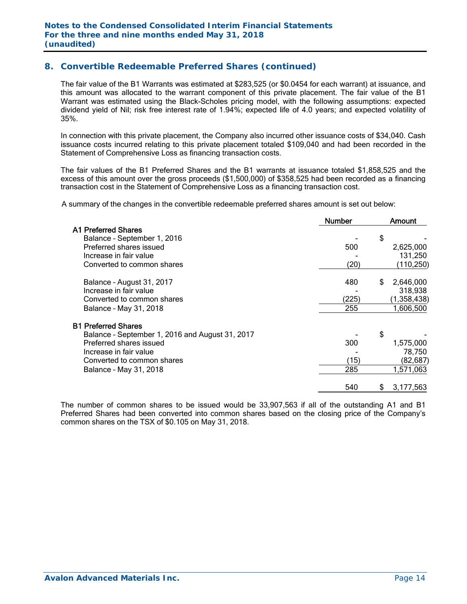# **8. Convertible Redeemable Preferred Shares (continued)**

 The fair value of the B1 Warrants was estimated at \$283,525 (or \$0.0454 for each warrant) at issuance, and this amount was allocated to the warrant component of this private placement. The fair value of the B1 Warrant was estimated using the Black-Scholes pricing model, with the following assumptions: expected dividend yield of Nil; risk free interest rate of 1.94%; expected life of 4.0 years; and expected volatility of 35%.

 In connection with this private placement, the Company also incurred other issuance costs of \$34,040. Cash issuance costs incurred relating to this private placement totaled \$109,040 and had been recorded in the Statement of Comprehensive Loss as financing transaction costs.

The fair values of the B1 Preferred Shares and the B1 warrants at issuance totaled \$1,858,525 and the excess of this amount over the gross proceeds (\$1,500,000) of \$358,525 had been recorded as a financing transaction cost in the Statement of Comprehensive Loss as a financing transaction cost.

A summary of the changes in the convertible redeemable preferred shares amount is set out below:

|                                                 | <b>Number</b> | Amount          |
|-------------------------------------------------|---------------|-----------------|
| A1 Preferred Shares                             |               |                 |
| Balance - September 1, 2016                     |               | \$              |
| Preferred shares issued                         | 500           | 2,625,000       |
| Increase in fair value                          |               | 131,250         |
| Converted to common shares                      | (20)          | (110, 250)      |
| Balance - August 31, 2017                       | 480           | 2,646,000<br>\$ |
| Increase in fair value                          |               | 318,938         |
| Converted to common shares                      | (225)         | (1,358,438)     |
| Balance - May 31, 2018                          | 255           | 1,606,500       |
| <b>B1 Preferred Shares</b>                      |               |                 |
| Balance - September 1, 2016 and August 31, 2017 |               | \$              |
| Preferred shares issued                         | 300           | 1,575,000       |
| Increase in fair value                          |               | 78,750          |
| Converted to common shares                      | (15)          | (82,687)        |
| Balance - May 31, 2018                          | 285           | 1,571,063       |
|                                                 | 540           | 3,177,563<br>S  |

The number of common shares to be issued would be 33,907,563 if all of the outstanding A1 and B1 Preferred Shares had been converted into common shares based on the closing price of the Company's common shares on the TSX of \$0.105 on May 31, 2018.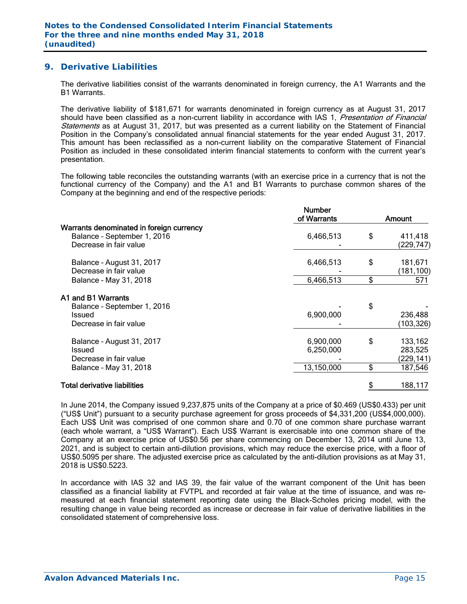# **9. Derivative Liabilities**

The derivative liabilities consist of the warrants denominated in foreign currency, the A1 Warrants and the B1 Warrants.

The derivative liability of \$181,671 for warrants denominated in foreign currency as at August 31, 2017 should have been classified as a non-current liability in accordance with IAS 1, Presentation of Financial Statements as at August 31, 2017, but was presented as a current liability on the Statement of Financial Position in the Company's consolidated annual financial statements for the year ended August 31, 2017. This amount has been reclassified as a non-current liability on the comparative Statement of Financial Position as included in these consolidated interim financial statements to conform with the current year's presentation.

The following table reconciles the outstanding warrants (with an exercise price in a currency that is not the functional currency of the Company) and the A1 and B1 Warrants to purchase common shares of the Company at the beginning and end of the respective periods:

|                                                                                                   | <b>Number</b><br>of Warrants | Amount                                 |
|---------------------------------------------------------------------------------------------------|------------------------------|----------------------------------------|
| Warrants denominated in foreign currency<br>Balance - September 1, 2016<br>Decrease in fair value | 6,466,513                    | \$<br>411,418<br>(229,747)             |
| Balance - August 31, 2017<br>Decrease in fair value                                               | 6,466,513                    | \$<br>181,671<br>(181,100)             |
| Balance - May 31, 2018                                                                            | 6,466,513                    | \$<br>571                              |
| A1 and B1 Warrants<br>Balance - September 1, 2016<br>Issued<br>Decrease in fair value             | 6,900,000                    | \$<br>236,488<br>(103,326)             |
| Balance - August 31, 2017<br>Issued<br>Decrease in fair value                                     | 6,900,000<br>6,250,000       | \$<br>133,162<br>283,525<br>(229, 141) |
| Balance - May 31, 2018                                                                            | 13,150,000                   | \$<br>187,546                          |
| Total derivative liabilities                                                                      |                              | 188,117                                |

In June 2014, the Company issued 9,237,875 units of the Company at a price of \$0.469 (US\$0.433) per unit ("US\$ Unit") pursuant to a security purchase agreement for gross proceeds of \$4,331,200 (US\$4,000,000). Each US\$ Unit was comprised of one common share and 0.70 of one common share purchase warrant (each whole warrant, a "US\$ Warrant"). Each US\$ Warrant is exercisable into one common share of the Company at an exercise price of US\$0.56 per share commencing on December 13, 2014 until June 13, 2021, and is subject to certain anti-dilution provisions, which may reduce the exercise price, with a floor of US\$0.5095 per share. The adjusted exercise price as calculated by the anti-dilution provisions as at May 31, 2018 is US\$0.5223.

In accordance with IAS 32 and IAS 39, the fair value of the warrant component of the Unit has been classified as a financial liability at FVTPL and recorded at fair value at the time of issuance, and was remeasured at each financial statement reporting date using the Black-Scholes pricing model, with the resulting change in value being recorded as increase or decrease in fair value of derivative liabilities in the consolidated statement of comprehensive loss.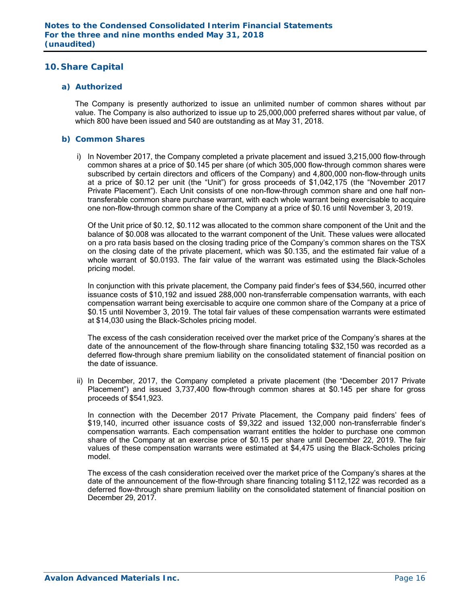# **10. Share Capital**

#### *a) Authorized*

The Company is presently authorized to issue an unlimited number of common shares without par value. The Company is also authorized to issue up to 25,000,000 preferred shares without par value, of which 800 have been issued and 540 are outstanding as at May 31, 2018.

#### *b) Common Shares*

i) In November 2017, the Company completed a private placement and issued 3,215,000 flow-through common shares at a price of \$0.145 per share (of which 305,000 flow-through common shares were subscribed by certain directors and officers of the Company) and 4,800,000 non-flow-through units at a price of \$0.12 per unit (the "Unit") for gross proceeds of \$1,042,175 (the "November 2017 Private Placement"). Each Unit consists of one non-flow-through common share and one half nontransferable common share purchase warrant, with each whole warrant being exercisable to acquire one non-flow-through common share of the Company at a price of \$0.16 until November 3, 2019.

 Of the Unit price of \$0.12, \$0.112 was allocated to the common share component of the Unit and the balance of \$0.008 was allocated to the warrant component of the Unit. These values were allocated on a pro rata basis based on the closing trading price of the Company's common shares on the TSX on the closing date of the private placement, which was \$0.135, and the estimated fair value of a whole warrant of \$0.0193. The fair value of the warrant was estimated using the Black-Scholes pricing model.

In conjunction with this private placement, the Company paid finder's fees of \$34,560, incurred other issuance costs of \$10,192 and issued 288,000 non-transferrable compensation warrants, with each compensation warrant being exercisable to acquire one common share of the Company at a price of \$0.15 until November 3, 2019. The total fair values of these compensation warrants were estimated at \$14,030 using the Black-Scholes pricing model.

 The excess of the cash consideration received over the market price of the Company's shares at the date of the announcement of the flow-through share financing totaling \$32,150 was recorded as a deferred flow-through share premium liability on the consolidated statement of financial position on the date of issuance.

ii) In December, 2017, the Company completed a private placement (the "December 2017 Private Placement") and issued 3,737,400 flow-through common shares at \$0.145 per share for gross proceeds of \$541,923.

In connection with the December 2017 Private Placement, the Company paid finders' fees of \$19,140, incurred other issuance costs of \$9,322 and issued 132,000 non-transferrable finder's compensation warrants. Each compensation warrant entitles the holder to purchase one common share of the Company at an exercise price of \$0.15 per share until December 22, 2019. The fair values of these compensation warrants were estimated at \$4,475 using the Black-Scholes pricing model.

 The excess of the cash consideration received over the market price of the Company's shares at the date of the announcement of the flow-through share financing totaling \$112,122 was recorded as a deferred flow-through share premium liability on the consolidated statement of financial position on December 29, 2017.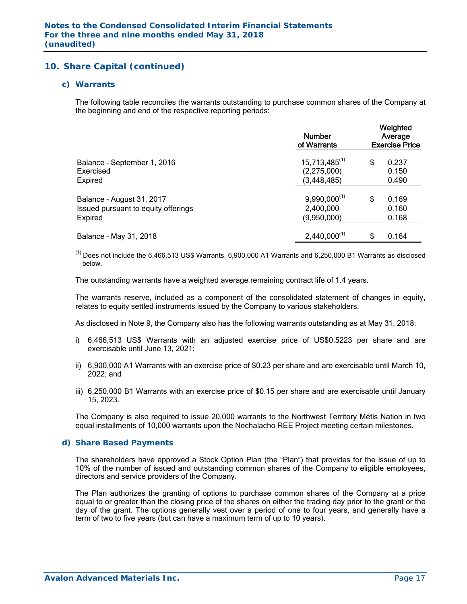#### *c) Warrants*

The following table reconciles the warrants outstanding to purchase common shares of the Company at the beginning and end of the respective reporting periods:

|                                     | <b>Number</b><br>of Warrants | Weighted<br>Average<br><b>Exercise Price</b> |  |  |
|-------------------------------------|------------------------------|----------------------------------------------|--|--|
| Balance - September 1, 2016         | $15,713,485^{(1)}$           | \$<br>0.237                                  |  |  |
| Exercised<br>Expired                | (2,275,000)<br>(3, 448, 485) | 0.150<br>0.490                               |  |  |
| Balance - August 31, 2017           | $9,990,000^{(1)}$            | \$<br>0.169                                  |  |  |
| Issued pursuant to equity offerings | 2,400,000                    | 0.160                                        |  |  |
| Expired                             | (9,950,000)                  | 0.168                                        |  |  |
| Balance - May 31, 2018              | $2,440,000^{(1)}$            | \$<br>0.164                                  |  |  |

 $^{(1)}$  Does not include the 6,466,513 US\$ Warrants, 6,900,000 A1 Warrants and 6,250,000 B1 Warrants as disclosed below.

The outstanding warrants have a weighted average remaining contract life of 1.4 years.

The warrants reserve, included as a component of the consolidated statement of changes in equity, relates to equity settled instruments issued by the Company to various stakeholders.

As disclosed in Note 9, the Company also has the following warrants outstanding as at May 31, 2018:

- i) 6,466,513 US\$ Warrants with an adjusted exercise price of US\$0.5223 per share and are exercisable until June 13, 2021;
- ii) 6,900,000 A1 Warrants with an exercise price of \$0.23 per share and are exercisable until March 10, 2022; and
- iii) 6,250,000 B1 Warrants with an exercise price of \$0.15 per share and are exercisable until January 15, 2023.

The Company is also required to issue 20,000 warrants to the Northwest Territory Métis Nation in two equal installments of 10,000 warrants upon the Nechalacho REE Project meeting certain milestones.

#### *d) Share Based Payments*

The shareholders have approved a Stock Option Plan (the "Plan") that provides for the issue of up to 10% of the number of issued and outstanding common shares of the Company to eligible employees, directors and service providers of the Company.

The Plan authorizes the granting of options to purchase common shares of the Company at a price equal to or greater than the closing price of the shares on either the trading day prior to the grant or the day of the grant. The options generally vest over a period of one to four years, and generally have a term of two to five years (but can have a maximum term of up to 10 years).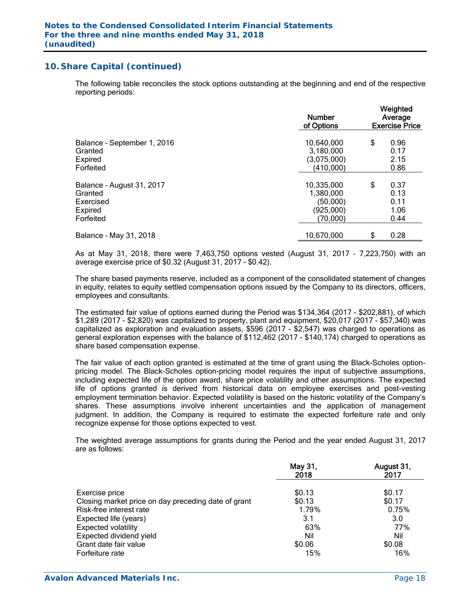The following table reconciles the stock options outstanding at the beginning and end of the respective reporting periods:

|                             | <b>Number</b><br>of Options | Weighted<br>Average<br><b>Exercise Price</b> |      |  |
|-----------------------------|-----------------------------|----------------------------------------------|------|--|
| Balance - September 1, 2016 | 10,640,000                  | \$                                           | 0.96 |  |
| Granted                     | 3,180,000                   |                                              | 0.17 |  |
| Expired                     | (3,075,000)                 |                                              | 2.15 |  |
| Forfeited                   | (410,000)                   |                                              | 0.86 |  |
| Balance - August 31, 2017   | 10,335,000                  | \$                                           | 0.37 |  |
| Granted                     | 1,380,000                   |                                              | 0.13 |  |
| Exercised                   | (50,000)                    |                                              | 0.11 |  |
| Expired                     | (925,000)                   |                                              | 1.06 |  |
| Forfeited                   | (70,000)                    |                                              | 0.44 |  |
| Balance - May 31, 2018      | 10,670,000                  | \$                                           | 0.28 |  |

As at May 31, 2018, there were 7,463,750 options vested (August 31, 2017 – 7,223,750) with an average exercise price of \$0.32 (August 31, 2017 - \$0.42).

The share based payments reserve, included as a component of the consolidated statement of changes in equity, relates to equity settled compensation options issued by the Company to its directors, officers, employees and consultants.

The estimated fair value of options earned during the Period was \$134,364 (2017 - \$202,881), of which \$1,289 (2017 - \$2,820) was capitalized to property, plant and equipment, \$20,017 (2017 - \$57,340) was capitalized as exploration and evaluation assets, \$596 (2017 - \$2,547) was charged to operations as general exploration expenses with the balance of \$112,462 (2017 - \$140,174) charged to operations as share based compensation expense.

The fair value of each option granted is estimated at the time of grant using the Black-Scholes optionpricing model. The Black-Scholes option-pricing model requires the input of subjective assumptions, including expected life of the option award, share price volatility and other assumptions. The expected life of options granted is derived from historical data on employee exercises and post-vesting employment termination behavior. Expected volatility is based on the historic volatility of the Company's shares. These assumptions involve inherent uncertainties and the application of management judgment. In addition, the Company is required to estimate the expected forfeiture rate and only recognize expense for those options expected to vest.

The weighted average assumptions for grants during the Period and the year ended August 31, 2017 are as follows:

|                                                     | May 31,<br>2018 | August 31,<br>2017 |
|-----------------------------------------------------|-----------------|--------------------|
| Exercise price                                      | \$0.13          | \$0.17             |
| Closing market price on day preceding date of grant | \$0.13          | \$0.17             |
| Risk-free interest rate                             | 1.79%           | 0.75%              |
| Expected life (years)                               | 3.1             | 3.0                |
| <b>Expected volatility</b>                          | 63%             | 77%                |
| Expected dividend yield                             | Nil             | Nil                |
| Grant date fair value                               | \$0.06          | \$0.08             |
| Forfeiture rate                                     | 15%             | 16%                |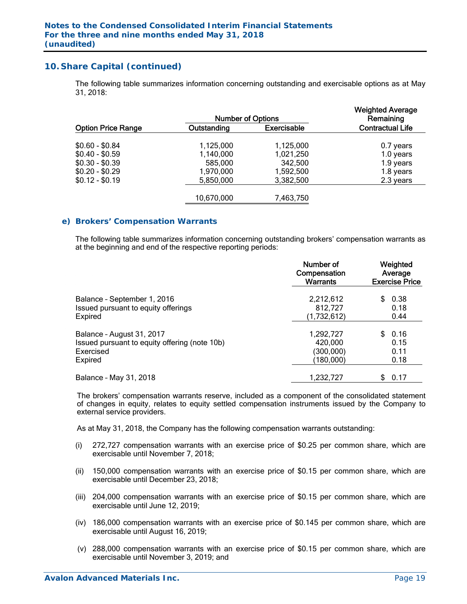The following table summarizes information concerning outstanding and exercisable options as at May 31, 2018:

|                           | <b>Number of Options</b> |                    | <b>Weighted Average</b><br>Remaining |
|---------------------------|--------------------------|--------------------|--------------------------------------|
| <b>Option Price Range</b> | Outstanding              | <b>Exercisable</b> | <b>Contractual Life</b>              |
| $$0.60 - $0.84$           | 1,125,000                | 1,125,000          | 0.7 years                            |
| $$0.40 - $0.59$           | 1,140,000                | 1,021,250          | 1.0 years                            |
| $$0.30 - $0.39$           | 585,000                  | 342,500            | 1.9 years                            |
| $$0.20 - $0.29$           | 1,970,000                | 1,592,500          | 1.8 years                            |
| $$0.12 - $0.19$           | 5,850,000                | 3,382,500          | 2.3 years                            |
|                           | 10,670,000               | 7,463,750          |                                      |

#### *e) Brokers' Compensation Warrants*

The following table summarizes information concerning outstanding brokers' compensation warrants as at the beginning and end of the respective reporting periods:

|                                               | Number of<br>Compensation<br><b>Warrants</b> | Weighted<br>Average<br><b>Exercise Price</b> |
|-----------------------------------------------|----------------------------------------------|----------------------------------------------|
| Balance - September 1, 2016                   | 2,212,612                                    | 0.38                                         |
| Issued pursuant to equity offerings           | 812,727                                      | 0.18                                         |
| <b>Expired</b>                                | (1,732,612)                                  | 0.44                                         |
| Balance - August 31, 2017                     | 1,292,727                                    | 0.16                                         |
| Issued pursuant to equity offering (note 10b) | 420,000                                      | 0.15                                         |
| Exercised                                     | (300,000)                                    | 0.11                                         |
| <b>Expired</b>                                | (180,000)                                    | 0.18                                         |
| Balance - May 31, 2018                        | 1,232,727                                    | 0.17<br>\$                                   |

The brokers' compensation warrants reserve, included as a component of the consolidated statement of changes in equity, relates to equity settled compensation instruments issued by the Company to external service providers.

As at May 31, 2018, the Company has the following compensation warrants outstanding:

- (i) 272,727 compensation warrants with an exercise price of \$0.25 per common share, which are exercisable until November 7, 2018;
- (ii) 150,000 compensation warrants with an exercise price of \$0.15 per common share, which are exercisable until December 23, 2018;
- (iii) 204,000 compensation warrants with an exercise price of \$0.15 per common share, which are exercisable until June 12, 2019;
- (iv) 186,000 compensation warrants with an exercise price of \$0.145 per common share, which are exercisable until August 16, 2019;
- (v) 288,000 compensation warrants with an exercise price of \$0.15 per common share, which are exercisable until November 3, 2019; and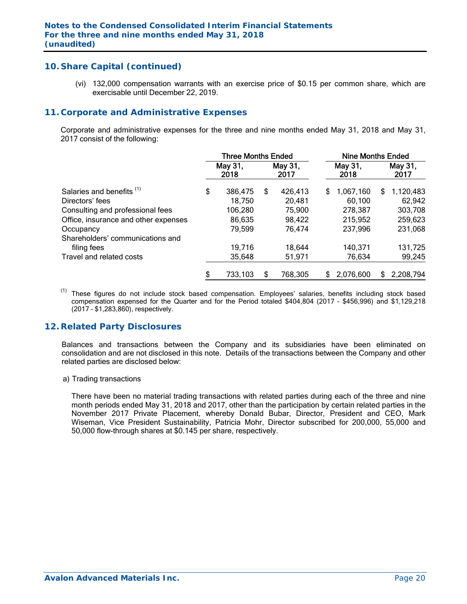(vi) 132,000 compensation warrants with an exercise price of \$0.15 per common share, which are exercisable until December 22, 2019.

### **11. Corporate and Administrative Expenses**

 Corporate and administrative expenses for the three and nine months ended May 31, 2018 and May 31, 2017 consist of the following:

|                                      | <b>Three Months Ended</b> |                 |    | <b>Nine Months Ended</b> |   |                 |   |                 |
|--------------------------------------|---------------------------|-----------------|----|--------------------------|---|-----------------|---|-----------------|
|                                      |                           | May 31,<br>2018 |    | May 31,<br>2017          |   | May 31,<br>2018 |   | May 31,<br>2017 |
| Salaries and benefits <sup>(1)</sup> | \$                        | 386,475         | \$ | 426,413                  | S | 1,067,160       | S | 1,120,483       |
| Directors' fees                      |                           | 18,750          |    | 20,481                   |   | 60,100          |   | 62,942          |
| Consulting and professional fees     |                           | 106,280         |    | 75,900                   |   | 278,387         |   | 303,708         |
| Office, insurance and other expenses |                           | 86,635          |    | 98,422                   |   | 215,952         |   | 259,623         |
| Occupancy                            |                           | 79,599          |    | 76,474                   |   | 237,996         |   | 231,068         |
| Shareholders' communications and     |                           |                 |    |                          |   |                 |   |                 |
| filing fees                          |                           | 19,716          |    | 18,644                   |   | 140,371         |   | 131,725         |
| Travel and related costs             |                           | 35,648          |    | 51,971                   |   | 76,634          |   | 99,245          |
|                                      | \$                        | 733,103         | \$ | 768,305                  | S | 2,076,600       | £ | 2,208,794       |

(1) These figures do not include stock based compensation. Employees' salaries, benefits including stock based compensation expensed for the Quarter and for the Period totaled \$404,804 (2017 – \$456,996) and \$1,129,218 (2017 – \$1,283,860), respectively.

### **12. Related Party Disclosures**

Balances and transactions between the Company and its subsidiaries have been eliminated on consolidation and are not disclosed in this note. Details of the transactions between the Company and other related parties are disclosed below:

#### a) Trading transactions

There have been no material trading transactions with related parties during each of the three and nine month periods ended May 31, 2018 and 2017, other than the participation by certain related parties in the November 2017 Private Placement, whereby Donald Bubar, Director, President and CEO, Mark Wiseman, Vice President Sustainability, Patricia Mohr, Director subscribed for 200,000, 55,000 and 50,000 flow-through shares at \$0.145 per share, respectively.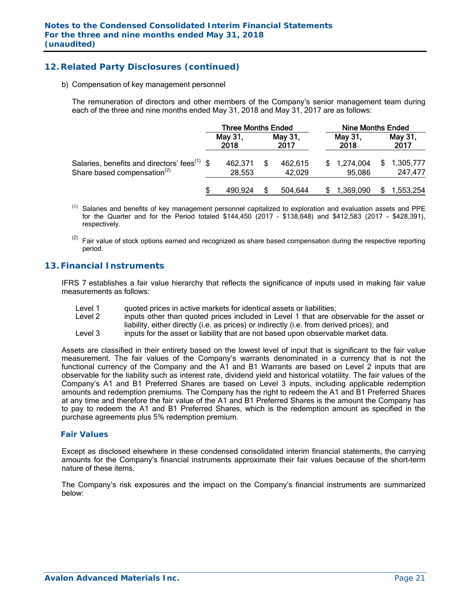# **12. Related Party Disclosures (continued)**

b) Compensation of key management personnel

The remuneration of directors and other members of the Company's senior management team during each of the three and nine months ended May 31, 2018 and May 31, 2017 are as follows:

|                                                                                                     | <b>Three Months Ended</b> |  | <b>Nine Months Ended</b> |                     |  |                      |
|-----------------------------------------------------------------------------------------------------|---------------------------|--|--------------------------|---------------------|--|----------------------|
|                                                                                                     | May 31,<br>2018           |  | May 31,<br>2017          | May 31,<br>2018     |  | May 31,<br>2017      |
| Salaries, benefits and directors' fees <sup>(1)</sup> \$<br>Share based compensation <sup>(2)</sup> | 462,371<br>28,553         |  | 462,615<br>42,029        | 1,274,004<br>95,086 |  | 1,305,777<br>247,477 |
|                                                                                                     | 490,924                   |  | 504.644                  | 1.369.090           |  | 1,553,254            |

- Salaries and benefits of key management personnel capitalized to exploration and evaluation assets and PPE for the Quarter and for the Period totaled \$144,450 (2017 – \$138,648) and \$412,583 (2017 - \$428,391), respectively.
- $(2)$  Fair value of stock options earned and recognized as share based compensation during the respective reporting period.

### **13. Financial Instruments**

IFRS 7 establishes a fair value hierarchy that reflects the significance of inputs used in making fair value measurements as follows:

- Level 1 guoted prices in active markets for identical assets or liabilities;
- Level 2 inputs other than quoted prices included in Level 1 that are observable for the asset or liability, either directly (i.e. as prices) or indirectly (i.e. from derived prices); and
- Level 3 inputs for the asset or liability that are not based upon observable market data.

Assets are classified in their entirety based on the lowest level of input that is significant to the fair value measurement. The fair values of the Company's warrants denominated in a currency that is not the functional currency of the Company and the A1 and B1 Warrants are based on Level 2 inputs that are observable for the liability such as interest rate, dividend yield and historical volatility. The fair values of the Company's A1 and B1 Preferred Shares are based on Level 3 inputs, including applicable redemption amounts and redemption premiums. The Company has the right to redeem the A1 and B1 Preferred Shares at any time and therefore the fair value of the A1 and B1 Preferred Shares is the amount the Company has to pay to redeem the A1 and B1 Preferred Shares, which is the redemption amount as specified in the purchase agreements plus 5% redemption premium.

#### *Fair Values*

Except as disclosed elsewhere in these condensed consolidated interim financial statements, the carrying amounts for the Company's financial instruments approximate their fair values because of the short-term nature of these items.

The Company's risk exposures and the impact on the Company's financial instruments are summarized below: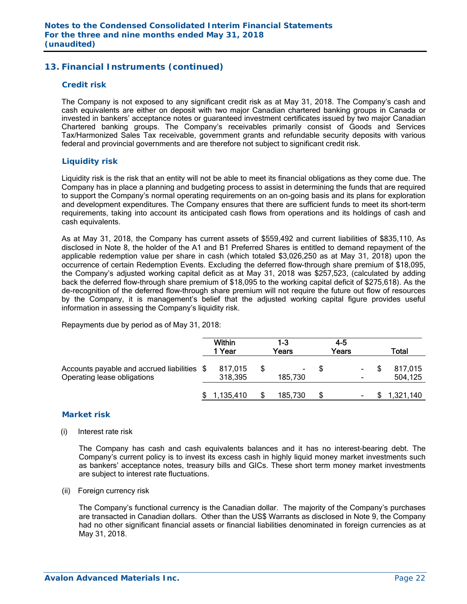# **13. Financial Instruments (continued)**

#### *Credit risk*

The Company is not exposed to any significant credit risk as at May 31, 2018. The Company's cash and cash equivalents are either on deposit with two major Canadian chartered banking groups in Canada or invested in bankers' acceptance notes or guaranteed investment certificates issued by two major Canadian Chartered banking groups. The Company's receivables primarily consist of Goods and Services Tax/Harmonized Sales Tax receivable, government grants and refundable security deposits with various federal and provincial governments and are therefore not subject to significant credit risk.

#### *Liquidity risk*

Liquidity risk is the risk that an entity will not be able to meet its financial obligations as they come due. The Company has in place a planning and budgeting process to assist in determining the funds that are required to support the Company's normal operating requirements on an on-going basis and its plans for exploration and development expenditures. The Company ensures that there are sufficient funds to meet its short-term requirements, taking into account its anticipated cash flows from operations and its holdings of cash and cash equivalents.

As at May 31, 2018, the Company has current assets of \$559,492 and current liabilities of \$835,110. As disclosed in Note 8, the holder of the A1 and B1 Preferred Shares is entitled to demand repayment of the applicable redemption value per share in cash (which totaled \$3,026,250 as at May 31, 2018) upon the occurrence of certain Redemption Events. Excluding the deferred flow-through share premium of \$18,095, the Company's adjusted working capital deficit as at May 31, 2018 was \$257,523, (calculated by adding back the deferred flow-through share premium of \$18,095 to the working capital deficit of \$275,618). As the de-recognition of the deferred flow-through share premium will not require the future out flow of resources by the Company, it is management's belief that the adjusted working capital figure provides useful information in assessing the Company's liquidity risk.

Repayments due by period as of May 31, 2018:

|                                                                            | <b>Within</b><br>1 Year | 1-3<br>Years | $4 - 5$<br>Years | Total              |
|----------------------------------------------------------------------------|-------------------------|--------------|------------------|--------------------|
| Accounts payable and accrued liabilities \$<br>Operating lease obligations | 817,015<br>318,395      | 185,730      | -                | 817,015<br>504,125 |
|                                                                            | 1,135,410               | 185,730      |                  | 1,321,140          |

#### *Market risk*

(i) Interest rate risk

 The Company has cash and cash equivalents balances and it has no interest-bearing debt. The Company's current policy is to invest its excess cash in highly liquid money market investments such as bankers' acceptance notes, treasury bills and GICs. These short term money market investments are subject to interest rate fluctuations.

(ii) Foreign currency risk

 The Company's functional currency is the Canadian dollar. The majority of the Company's purchases are transacted in Canadian dollars. Other than the US\$ Warrants as disclosed in Note 9, the Company had no other significant financial assets or financial liabilities denominated in foreign currencies as at May 31, 2018.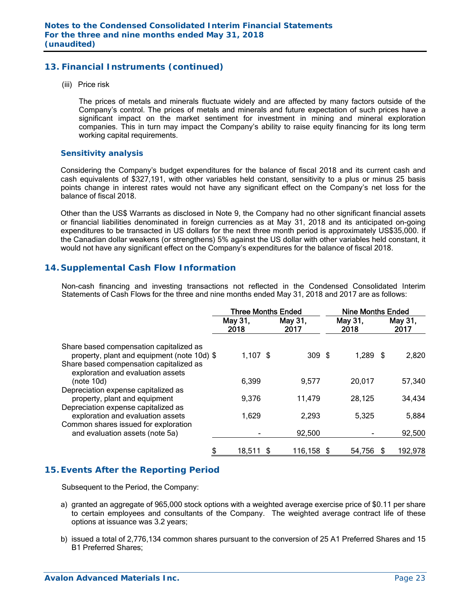# **13. Financial Instruments (continued)**

(iii) Price risk

 The prices of metals and minerals fluctuate widely and are affected by many factors outside of the Company's control. The prices of metals and minerals and future expectation of such prices have a significant impact on the market sentiment for investment in mining and mineral exploration companies. This in turn may impact the Company's ability to raise equity financing for its long term working capital requirements.

#### *Sensitivity analysis*

 Considering the Company's budget expenditures for the balance of fiscal 2018 and its current cash and cash equivalents of \$327,191, with other variables held constant, sensitivity to a plus or minus 25 basis points change in interest rates would not have any significant effect on the Company's net loss for the balance of fiscal 2018.

Other than the US\$ Warrants as disclosed in Note 9, the Company had no other significant financial assets or financial liabilities denominated in foreign currencies as at May 31, 2018 and its anticipated on-going expenditures to be transacted in US dollars for the next three month period is approximately US\$35,000. If the Canadian dollar weakens (or strengthens) 5% against the US dollar with other variables held constant, it would not have any significant effect on the Company's expenditures for the balance of fiscal 2018.

# **14. Supplemental Cash Flow Information**

Non-cash financing and investing transactions not reflected in the Condensed Consolidated Interim Statements of Cash Flows for the three and nine months ended May 31, 2018 and 2017 are as follows:

|                                                                                                                                   |                 | <b>Three Months Ended</b> | <b>Nine Months Ended</b> |                 |  |  |
|-----------------------------------------------------------------------------------------------------------------------------------|-----------------|---------------------------|--------------------------|-----------------|--|--|
|                                                                                                                                   | May 31,<br>2018 | May 31,<br>2017           | May 31,<br>2018          | May 31,<br>2017 |  |  |
| Share based compensation capitalized as<br>property, plant and equipment (note 10d) \$<br>Share based compensation capitalized as | $1,107$ \$      | 309 <sup>5</sup>          | $1,289$ \$               | 2,820           |  |  |
| exploration and evaluation assets<br>(note 10d)                                                                                   | 6,399           | 9,577                     | 20,017                   | 57,340          |  |  |
| Depreciation expense capitalized as<br>property, plant and equipment<br>Depreciation expense capitalized as                       | 9,376           | 11,479                    | 28,125                   | 34,434          |  |  |
| exploration and evaluation assets<br>Common shares issued for exploration                                                         | 1,629           | 2,293                     | 5,325                    | 5,884           |  |  |
| and evaluation assets (note 5a)                                                                                                   |                 | 92,500                    |                          | 92,500          |  |  |
| \$                                                                                                                                | 18,511 \$       | 116,158 \$                | 54,756                   | 192,978<br>- \$ |  |  |

# **15. Events After the Reporting Period**

Subsequent to the Period, the Company:

- a) granted an aggregate of 965,000 stock options with a weighted average exercise price of \$0.11 per share to certain employees and consultants of the Company. The weighted average contract life of these options at issuance was 3.2 years;
- b) issued a total of 2,776,134 common shares pursuant to the conversion of 25 A1 Preferred Shares and 15 B1 Preferred Shares;